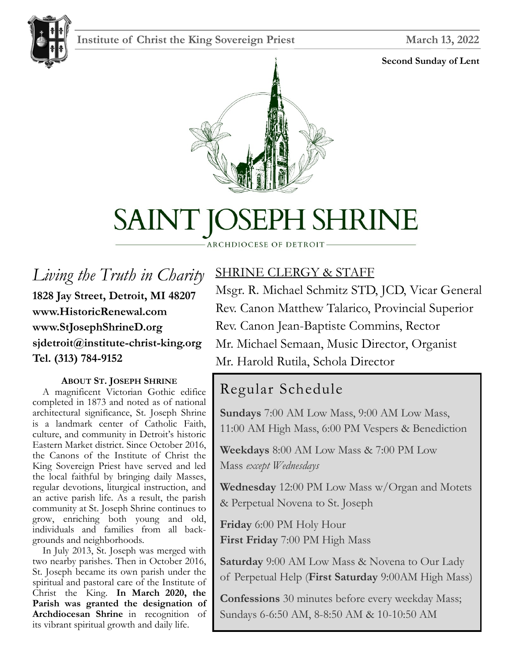## **Institute of Christ the King Sovereign Priest March 13, 2022**



#### **Second Sunday of Lent**





# SAINT JOSEPH SHRINE

#### ARCHDIOCESE OF DETROIT

*Living the Truth in Charity* **1828 Jay Street, Detroit, MI 48207 www.HistoricRenewal.com www.StJosephShrineD.org sjdetroit@institute-christ-king.org Tel. (313) 784-9152**

#### **ABOUT ST. JOSEPH SHRINE**

 A magnificent Victorian Gothic edifice completed in 1873 and noted as of national architectural significance, St. Joseph Shrine is a landmark center of Catholic Faith, culture, and community in Detroit's historic Eastern Market district. Since October 2016, the Canons of the Institute of Christ the King Sovereign Priest have served and led the local faithful by bringing daily Masses, regular devotions, liturgical instruction, and an active parish life. As a result, the parish community at St. Joseph Shrine continues to grow, enriching both young and old, individuals and families from all backgrounds and neighborhoods.

 In July 2013, St. Joseph was merged with two nearby parishes. Then in October 2016, St. Joseph became its own parish under the spiritual and pastoral care of the Institute of Christ the King. **In March 2020, the Parish was granted the designation of Archdiocesan Shrine** in recognition of its vibrant spiritual growth and daily life.

## SHRINE CLERGY & STAFF

Msgr. R. Michael Schmitz STD, JCD, Vicar General Rev. Canon Matthew Talarico, Provincial Superior Rev. Canon Jean-Baptiste Commins, Rector Mr. Michael Semaan, Music Director, Organist Mr. Harold Rutila, Schola Director

## Regular Schedule

**Sundays** 7:00 AM Low Mass, 9:00 AM Low Mass, 11:00 AM High Mass, 6:00 PM Vespers & Benediction

**Weekdays** 8:00 AM Low Mass & 7:00 PM Low Mass *except Wednesdays*

**Wednesday** 12:00 PM Low Mass w/Organ and Motets & Perpetual Novena to St. Joseph

**Friday** 6:00 PM Holy Hour **First Friday** 7:00 PM High Mass

**Saturday** 9:00 AM Low Mass & Novena to Our Lady of Perpetual Help (**First Saturday** 9:00AM High Mass)

**Confessions** 30 minutes before every weekday Mass; Sundays 6-6:50 AM, 8-8:50 AM & 10-10:50 AM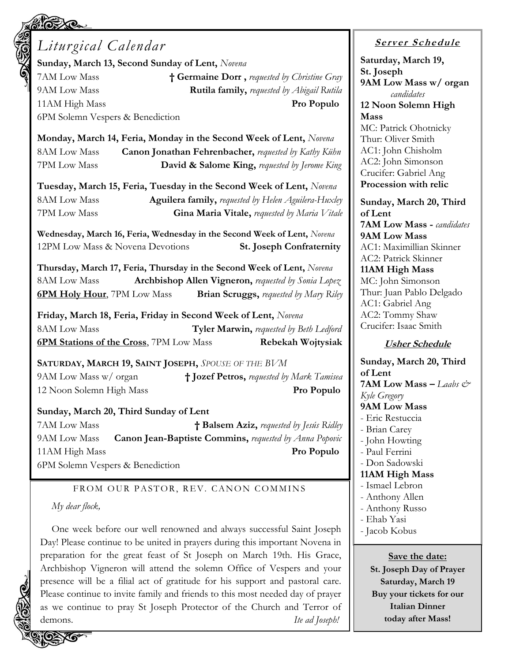## *Liturgical Calendar*

**Sunday, March 13, Second Sunday of Lent,** *Novena*

7AM Low Mass **† Germaine Dorr ,** *requested by Christine Gray* 9AM Low Mass **Rutila family,** *requested by Abigail Rutila*  11AM High Mass **Pro Populo** 6PM Solemn Vespers & Benediction

**Monday, March 14, Feria, Monday in the Second Week of Lent,** *Novena* 8AM Low Mass **Canon Jonathan Fehrenbacher,** *requested by Kathy Kühn* 7PM Low Mass **David & Salome King,** *requested by Jerome King*

**Tuesday, March 15, Feria, Tuesday in the Second Week of Lent,** *Novena* 8AM Low Mass **Aguilera family,** *requested by Helen Aguilera-Huxley* 7PM Low Mass **Gina Maria Vitale,** *requested by Maria Vitale*

**Wednesday, March 16, Feria, Wednesday in the Second Week of Lent,** *Novena* 12PM Low Mass & Novena Devotions **St. Joseph Confraternity**

**Thursday, March 17, Feria, Thursday in the Second Week of Lent,** *Novena* 8AM Low Mass **Archbishop Allen Vigneron,** *requested by Sonia Lopez* **6PM Holy Hour**, 7PM Low Mass **Brian Scruggs,** *requested by Mary Riley*

**Friday, March 18, Feria, Friday in Second Week of Lent,** *Novena* 8AM Low Mass **Tyler Marwin,** *requested by Beth Ledford* **6PM Stations of the Cross**, 7PM Low Mass **Rebekah Wojtysiak**

**SATURDAY, MARCH 19, SAINT JOSEPH,** *SPOUSE OF THE BVM* 9AM Low Mass w/ organ **† Jozef Petros,** *requested by Mark Tamisea* 12 Noon Solemn High Mass **Pro Populo**

#### **Sunday, March 20, Third Sunday of Lent**

7AM Low Mass **† Balsem Aziz,** *requested by Jesús Ridley* 9AM Low Mass **Canon Jean-Baptiste Commins,** *requested by Anna Popovic* 11AM High Mass **Pro Populo**

6PM Solemn Vespers & Benediction

#### FROM OUR PASTOR, REV. CANON COMMINS

#### *My dear flock,*

One week before our well renowned and always successful Saint Joseph Day! Please continue to be united in prayers during this important Novena in preparation for the great feast of St Joseph on March 19th. His Grace, Archbishop Vigneron will attend the solemn Office of Vespers and your presence will be a filial act of gratitude for his support and pastoral care. Please continue to invite family and friends to this most needed day of prayer as we continue to pray St Joseph Protector of the Church and Terror of demons. *Ite ad Joseph!*

#### **<sup>S</sup> <sup>e</sup> rv er <sup>S</sup> <sup>c</sup> he du le**

**Saturday, March 19, St. Joseph 9AM Low Mass w/ organ** *candidates* **12 Noon Solemn High Mass** MC: Patrick Ohotnicky Thur: Oliver Smith AC1: John Chisholm

AC2: John Simonson Crucifer: Gabriel Ang **Procession with relic**

**Sunday, March 20, Third of Lent 7AM Low Mass -** *candidates* **9AM Low Mass** AC1: Maximillian Skinner AC2: Patrick Skinner **11AM High Mass** MC: John Simonson Thur: Juan Pablo Delgado AC1: Gabriel Ang AC2: Tommy Shaw Crucifer: Isaac Smith

#### **Usher Schedule**

**Sunday, March 20, Third of Lent 7AM Low Mass –** *Laabs & Kyle Gregory* **9AM Low Mass** - Eric Restuccia - Brian Carey - John Howting - Paul Ferrini - Don Sadowski **11AM High Mass** - Ismael Lebron - Anthony Allen - Anthony Russo - Ehab Yasi - Jacob Kobus **Save the date:**

**St. Joseph Day of Prayer Saturday, March 19 Buy your tickets for our Italian Dinner today after Mass!**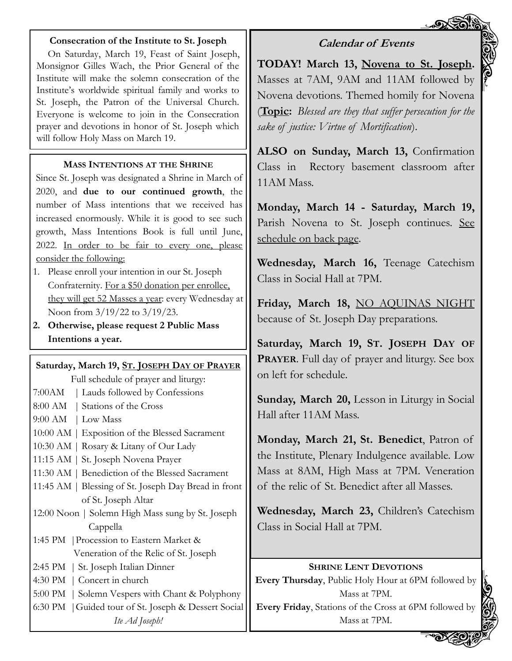#### **Consecration of the Institute to St. Joseph**

On Saturday, March 19, Feast of Saint Joseph, Monsignor Gilles Wach, the Prior General of the Institute will make the solemn consecration of the Institute's worldwide spiritual family and works to St. Joseph, the Patron of the Universal Church. Everyone is welcome to join in the Consecration prayer and devotions in honor of St. Joseph which will follow Holy Mass on March 19.

#### **MASS INTENTIONS AT THE SHRINE**

Since St. Joseph was designated a Shrine in March of 2020, and **due to our continued growth**, the number of Mass intentions that we received has increased enormously. While it is good to see such growth, Mass Intentions Book is full until June, 2022. In order to be fair to every one, please consider the following:

- 1. Please enroll your intention in our St. Joseph Confraternity. For a \$50 donation per enrollee, they will get 52 Masses a year: every Wednesday at Noon from 3/19/22 to 3/19/23.
- **2. Otherwise, please request 2 Public Mass Intentions a year.**

## **Saturday, March 19, ST. JOSEPH DAY OF PRAYER**

| Full schedule of prayer and liturgy:                 |
|------------------------------------------------------|
| 7:00 AM   Lauds followed by Confessions              |
| 8:00 AM   Stations of the Cross                      |
| $9:00$ AM   Low Mass                                 |
| 10:00 AM   Exposition of the Blessed Sacrament       |
| 10:30 AM   Rosary & Litany of Our Lady               |
| 11:15 AM   St. Joseph Novena Prayer                  |
| 11:30 AM   Benediction of the Blessed Sacrament      |
| 11:45 AM   Blessing of St. Joseph Day Bread in front |
| of St. Joseph Altar                                  |
| 12:00 Noon   Solemn High Mass sung by St. Joseph     |
| Cappella                                             |
| 1:45 PM   Procession to Eastern Market &             |
| Veneration of the Relic of St. Joseph                |
| 2:45 PM   St. Joseph Italian Dinner                  |
| 4:30 PM   Concert in church                          |
| 5:00 PM   Solemn Vespers with Chant & Polyphony      |
| 6:30 PM   Guided tour of St. Joseph & Dessert Social |
| Ite Ad Joseph!                                       |

## **Calendar of Events**

**TODAY! March 13, Novena to St. Joseph.**  Masses at 7AM, 9AM and 11AM followed by Novena devotions. Themed homily for Novena (**Topic:** *Blessed are they that suffer persecution for the sake of justice: Virtue of Mortification*).

**ALSO on Sunday, March 13,** Confirmation Class in Rectory basement classroom after 11AM Mass.

**Monday, March 14 - Saturday, March 19,** Parish Novena to St. Joseph continues. See schedule on back page.

**Wednesday, March 16,** Teenage Catechism Class in Social Hall at 7PM.

**Friday, March 18,** NO AQUINAS NIGHT because of St. Joseph Day preparations.

**Saturday, March 19, ST. JOSEPH DAY OF PRAYER**. Full day of prayer and liturgy. See box on left for schedule.

**Sunday, March 20,** Lesson in Liturgy in Social Hall after 11AM Mass.

**Monday, March 21, St. Benedict**, Patron of the Institute, Plenary Indulgence available. Low Mass at 8AM, High Mass at 7PM. Veneration of the relic of St. Benedict after all Masses.

**Wednesday, March 23,** Children's Catechism Class in Social Hall at 7PM.

#### **SHRINE LENT DEVOTIONS**

**Every Thursday**, Public Holy Hour at 6PM followed by Mass at 7PM.

**Every Friday**, Stations of the Cross at 6PM followed by Mass at 7PM.